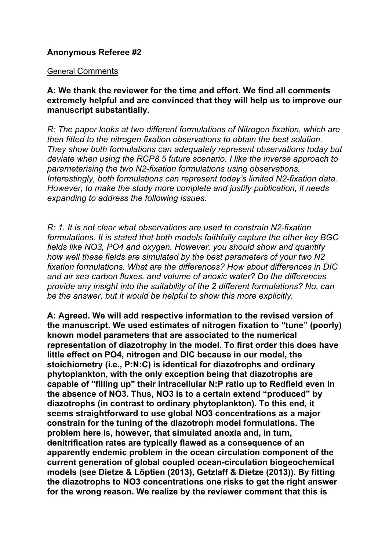# **Anonymous Referee #2**

#### General Comments

**A: We thank the reviewer for the time and effort. We find all comments extremely helpful and are convinced that they will help us to improve our manuscript substantially.**

*R: The paper looks at two different formulations of Nitrogen fixation, which are then fitted to the nitrogen fixation observations to obtain the best solution. They show both formulations can adequately represent observations today but deviate when using the RCP8.5 future scenario. I like the inverse approach to parameterising the two N2-fixation formulations using observations. Interestingly, both formulations can represent today's limited N2-fixation data. However, to make the study more complete and justify publication, it needs expanding to address the following issues.*

*R: 1. It is not clear what observations are used to constrain N2-fixation formulations. It is stated that both models faithfully capture the other key BGC fields like NO3, PO4 and oxygen. However, you should show and quantify how well these fields are simulated by the best parameters of your two N2 fixation formulations. What are the differences? How about differences in DIC and air sea carbon fluxes, and volume of anoxic water? Do the differences provide any insight into the suitability of the 2 different formulations? No, can be the answer, but it would be helpful to show this more explicitly.*

**A: Agreed. We will add respective information to the revised version of the manuscript. We used estimates of nitrogen fixation to "tune" (poorly) known model parameters that are associated to the numerical representation of diazotrophy in the model. To first order this does have little effect on PO4, nitrogen and DIC because in our model, the stoichiometry (i.e., P:N:C) is identical for diazotrophs and ordinary phytoplankton, with the only exception being that diazotrophs are capable of "filling up" their intracellular N:P ratio up to Redfield even in the absence of NO3. Thus, NO3 is to a certain extend "produced" by diazotrophs (in contrast to ordinary phytoplankton). To this end, it seems straightforward to use global NO3 concentrations as a major constrain for the tuning of the diazotroph model formulations. The problem here is, however, that simulated anoxia and, in turn, denitrification rates are typically flawed as a consequence of an apparently endemic problem in the ocean circulation component of the current generation of global coupled ocean-circulation biogeochemical models (see Dietze & Löptien (2013), Getzlaff & Dietze (2013)). By fitting the diazotrophs to NO3 concentrations one risks to get the right answer for the wrong reason. We realize by the reviewer comment that this is**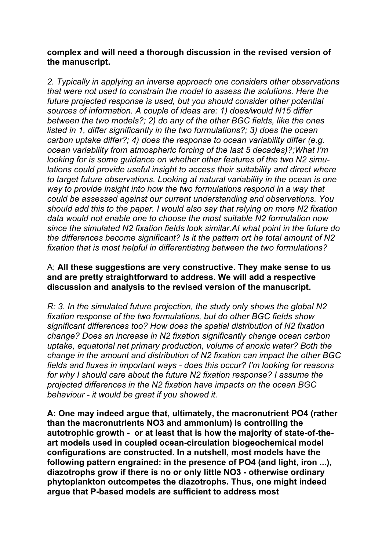## **complex and will need a thorough discussion in the revised version of the manuscript.**

*2. Typically in applying an inverse approach one considers other observations that were not used to constrain the model to assess the solutions. Here the future projected response is used, but you should consider other potential sources of information. A couple of ideas are: 1) does/would N15 differ between the two models?; 2) do any of the other BGC fields, like the ones listed in 1, differ significantly in the two formulations?; 3) does the ocean carbon uptake differ?; 4) does the response to ocean variability differ (e.g. ocean variability from atmospheric forcing of the last 5 decades)?;What I'm looking for is some guidance on whether other features of the two N2 simulations could provide useful insight to access their suitability and direct where to target future observations. Looking at natural variability in the ocean is one way to provide insight into how the two formulations respond in a way that could be assessed against our current understanding and observations. You should add this to the paper. I would also say that relying on more N2 fixation data would not enable one to choose the most suitable N2 formulation now since the simulated N2 fixation fields look similar.At what point in the future do the differences become significant? Is it the pattern ort he total amount of N2 fixation that is most helpful in differentiating between the two formulations?*

### A; **All these suggestions are very constructive. They make sense to us and are pretty straightforward to address. We will add a respective discussion and analysis to the revised version of the manuscript.**

*R: 3. In the simulated future projection, the study only shows the global N2 fixation response of the two formulations, but do other BGC fields show significant differences too? How does the spatial distribution of N2 fixation change? Does an increase in N2 fixation significantly change ocean carbon uptake, equatorial net primary production, volume of anoxic water? Both the change in the amount and distribution of N2 fixation can impact the other BGC fields and fluxes in important ways - does this occur? I'm looking for reasons for why I should care about the future N2 fixation response? I assume the projected differences in the N2 fixation have impacts on the ocean BGC behaviour - it would be great if you showed it.*

**A: One may indeed argue that, ultimately, the macronutrient PO4 (rather than the macronutrients NO3 and ammonium) is controlling the autotrophic growth - or at least that is how the majority of state-of-theart models used in coupled ocean-circulation biogeochemical model configurations are constructed. In a nutshell, most models have the following pattern engrained: in the presence of PO4 (and light, iron ...), diazotrophs grow if there is no or only little NO3 - otherwise ordinary phytoplankton outcompetes the diazotrophs. Thus, one might indeed argue that P-based models are sufficient to address most**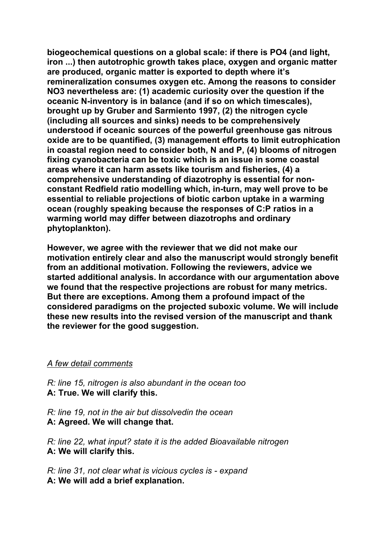**biogeochemical questions on a global scale: if there is PO4 (and light, iron ...) then autotrophic growth takes place, oxygen and organic matter are produced, organic matter is exported to depth where it's remineralization consumes oxygen etc. Among the reasons to consider NO3 nevertheless are: (1) academic curiosity over the question if the oceanic N-inventory is in balance (and if so on which timescales), brought up by Gruber and Sarmiento 1997, (2) the nitrogen cycle (including all sources and sinks) needs to be comprehensively understood if oceanic sources of the powerful greenhouse gas nitrous oxide are to be quantified, (3) management efforts to limit eutrophication in coastal region need to consider both, N and P, (4) blooms of nitrogen fixing cyanobacteria can be toxic which is an issue in some coastal areas where it can harm assets like tourism and fisheries, (4) a comprehensive understanding of diazotrophy is essential for nonconstant Redfield ratio modelling which, in-turn, may well prove to be essential to reliable projections of biotic carbon uptake in a warming ocean (roughly speaking because the responses of C:P ratios in a warming world may differ between diazotrophs and ordinary phytoplankton).**

**However, we agree with the reviewer that we did not make our motivation entirely clear and also the manuscript would strongly benefit from an additional motivation. Following the reviewers, advice we started additional analysis. In accordance with our argumentation above we found that the respective projections are robust for many metrics. But there are exceptions. Among them a profound impact of the considered paradigms on the projected suboxic volume. We will include these new results into the revised version of the manuscript and thank the reviewer for the good suggestion.**

#### *A few detail comments*

*R: line 15, nitrogen is also abundant in the ocean too*  **A: True. We will clarify this.**

*R: line 19, not in the air but dissolvedin the ocean*  **A: Agreed. We will change that.** 

*R: line 22, what input? state it is the added Bioavailable nitrogen*  **A: We will clarify this.**

*R: line 31, not clear what is vicious cycles is - expand*  **A: We will add a brief explanation.**